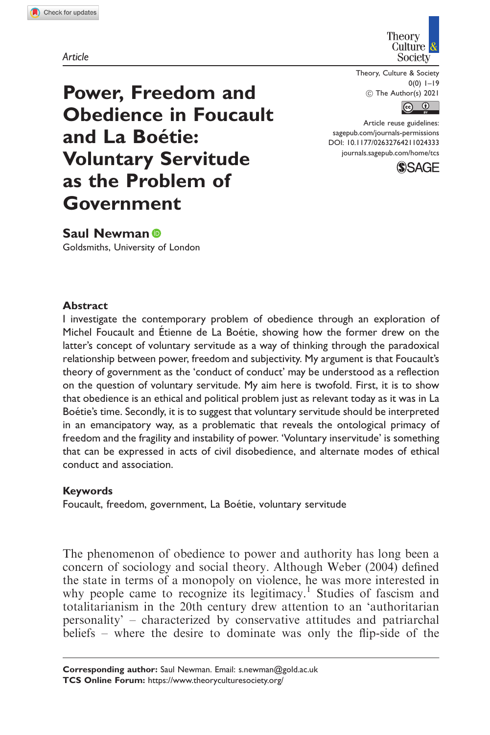Article



Theory, Culture & Society  $0(0)$   $1-19$ ! The Author(s) 2021

 $\boxed{6}$ 

Article reuse guidelines: [sagepub.com/journals-permissions](https://uk.sagepub.com/en-gb/journals-permissions) DOI: [10.1177/02632764211024333](https://doi.org/10.1177/02632764211024333) <journals.sagepub.com/home/tcs>



Power, Freedom and Obedience in Foucault and La Boétie: Voluntary Servitude as the Problem of Government

Saul Newman<sup>®</sup> Goldsmiths, University of London

### Abstract

I investigate the contemporary problem of obedience through an exploration of Michel Foucault and Étienne de La Boétie, showing how the former drew on the latter's concept of voluntary servitude as a way of thinking through the paradoxical relationship between power, freedom and subjectivity. My argument is that Foucault's theory of government as the 'conduct of conduct' may be understood as a reflection on the question of voluntary servitude. My aim here is twofold. First, it is to show that obedience is an ethical and political problem just as relevant today as it was in La Boétie's time. Secondly, it is to suggest that voluntary servitude should be interpreted in an emancipatory way, as a problematic that reveals the ontological primacy of freedom and the fragility and instability of power. 'Voluntary inservitude' is something that can be expressed in acts of civil disobedience, and alternate modes of ethical conduct and association.

#### Keywords

Foucault, freedom, government, La Boétie, voluntary servitude

The phenomenon of obedience to power and authority has long been a concern of sociology and social theory. Although Weber (2004) defined the state in terms of a monopoly on violence, he was more interested in why people came to recognize its legitimacy.<sup>1</sup> Studies of fascism and totalitarianism in the 20th century drew attention to an 'authoritarian personality' – characterized by conservative attitudes and patriarchal beliefs – where the desire to dominate was only the flip-side of the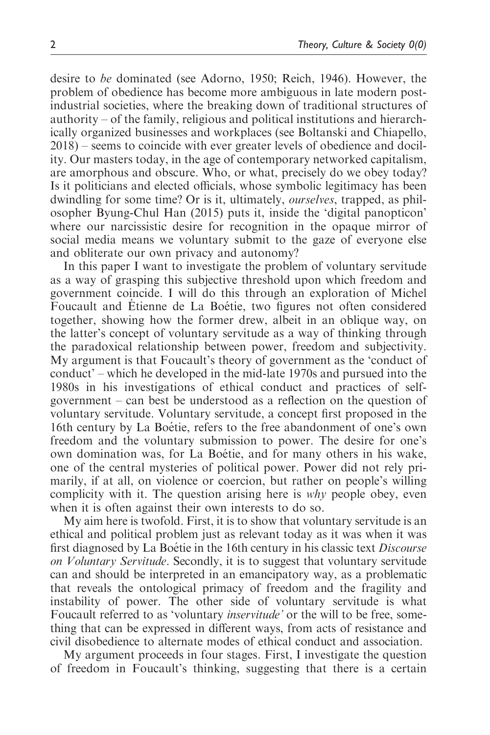desire to be dominated (see Adorno, 1950; Reich, 1946). However, the problem of obedience has become more ambiguous in late modern postindustrial societies, where the breaking down of traditional structures of authority – of the family, religious and political institutions and hierarchically organized businesses and workplaces (see Boltanski and Chiapello, 2018) – seems to coincide with ever greater levels of obedience and docility. Our masters today, in the age of contemporary networked capitalism, are amorphous and obscure. Who, or what, precisely do we obey today? Is it politicians and elected officials, whose symbolic legitimacy has been dwindling for some time? Or is it, ultimately, ourselves, trapped, as philosopher Byung-Chul Han (2015) puts it, inside the 'digital panopticon' where our narcissistic desire for recognition in the opaque mirror of social media means we voluntary submit to the gaze of everyone else and obliterate our own privacy and autonomy?

In this paper I want to investigate the problem of voluntary servitude as a way of grasping this subjective threshold upon which freedom and government coincide. I will do this through an exploration of Michel Foucault and Étienne de La Boétie, two figures not often considered together, showing how the former drew, albeit in an oblique way, on the latter's concept of voluntary servitude as a way of thinking through the paradoxical relationship between power, freedom and subjectivity. My argument is that Foucault's theory of government as the 'conduct of conduct' – which he developed in the mid-late 1970s and pursued into the 1980s in his investigations of ethical conduct and practices of selfgovernment – can best be understood as a reflection on the question of voluntary servitude. Voluntary servitude, a concept first proposed in the 16th century by La Boétie, refers to the free abandonment of one's own freedom and the voluntary submission to power. The desire for one's own domination was, for La Boétie, and for many others in his wake, one of the central mysteries of political power. Power did not rely primarily, if at all, on violence or coercion, but rather on people's willing complicity with it. The question arising here is  $why$  people obey, even when it is often against their own interests to do so.

My aim here is twofold. First, it is to show that voluntary servitude is an ethical and political problem just as relevant today as it was when it was first diagnosed by La Boétie in the 16th century in his classic text *Discourse* on Voluntary Servitude. Secondly, it is to suggest that voluntary servitude can and should be interpreted in an emancipatory way, as a problematic that reveals the ontological primacy of freedom and the fragility and instability of power. The other side of voluntary servitude is what Foucault referred to as 'voluntary inservitude' or the will to be free, something that can be expressed in different ways, from acts of resistance and civil disobedience to alternate modes of ethical conduct and association.

My argument proceeds in four stages. First, I investigate the question of freedom in Foucault's thinking, suggesting that there is a certain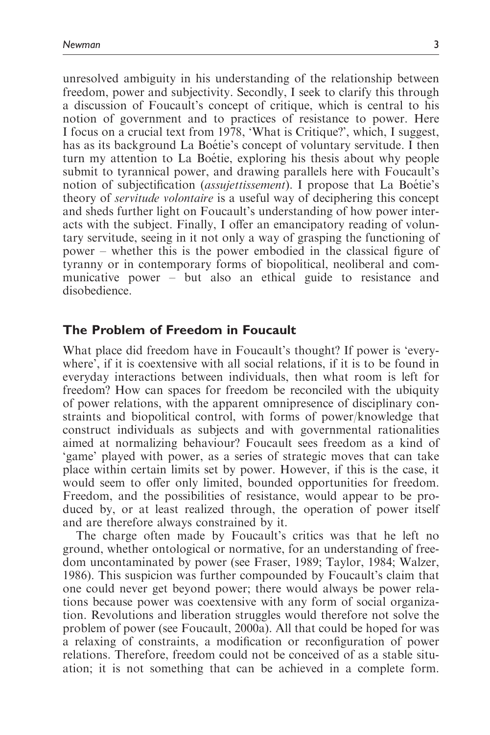unresolved ambiguity in his understanding of the relationship between freedom, power and subjectivity. Secondly, I seek to clarify this through a discussion of Foucault's concept of critique, which is central to his notion of government and to practices of resistance to power. Here I focus on a crucial text from 1978, 'What is Critique?', which, I suggest, has as its background La Boétie's concept of voluntary servitude. I then turn my attention to La Boétie, exploring his thesis about why people submit to tyrannical power, and drawing parallels here with Foucault's notion of subjectification *(assujettissement)*. I propose that La Boétie's theory of servitude volontaire is a useful way of deciphering this concept and sheds further light on Foucault's understanding of how power interacts with the subject. Finally, I offer an emancipatory reading of voluntary servitude, seeing in it not only a way of grasping the functioning of power – whether this is the power embodied in the classical figure of tyranny or in contemporary forms of biopolitical, neoliberal and communicative power – but also an ethical guide to resistance and disobedience.

### The Problem of Freedom in Foucault

What place did freedom have in Foucault's thought? If power is 'everywhere', if it is coextensive with all social relations, if it is to be found in everyday interactions between individuals, then what room is left for freedom? How can spaces for freedom be reconciled with the ubiquity of power relations, with the apparent omnipresence of disciplinary constraints and biopolitical control, with forms of power/knowledge that construct individuals as subjects and with governmental rationalities aimed at normalizing behaviour? Foucault sees freedom as a kind of 'game' played with power, as a series of strategic moves that can take place within certain limits set by power. However, if this is the case, it would seem to offer only limited, bounded opportunities for freedom. Freedom, and the possibilities of resistance, would appear to be produced by, or at least realized through, the operation of power itself and are therefore always constrained by it.

The charge often made by Foucault's critics was that he left no ground, whether ontological or normative, for an understanding of freedom uncontaminated by power (see Fraser, 1989; Taylor, 1984; Walzer, 1986). This suspicion was further compounded by Foucault's claim that one could never get beyond power; there would always be power relations because power was coextensive with any form of social organization. Revolutions and liberation struggles would therefore not solve the problem of power (see Foucault, 2000a). All that could be hoped for was a relaxing of constraints, a modification or reconfiguration of power relations. Therefore, freedom could not be conceived of as a stable situation; it is not something that can be achieved in a complete form.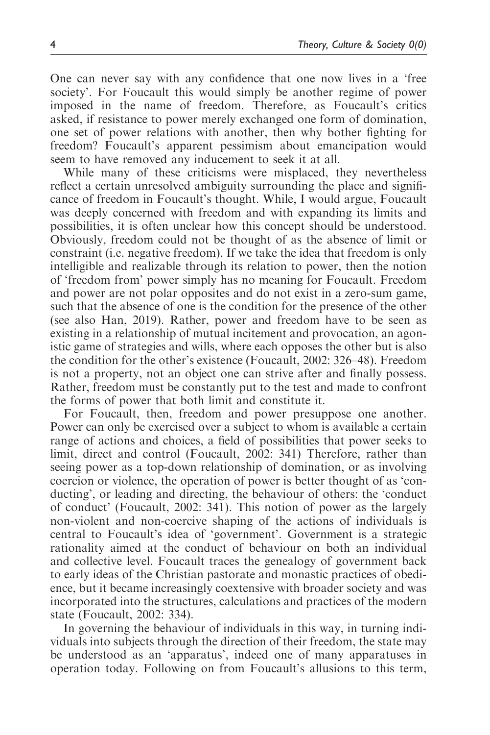One can never say with any confidence that one now lives in a 'free society'. For Foucault this would simply be another regime of power imposed in the name of freedom. Therefore, as Foucault's critics asked, if resistance to power merely exchanged one form of domination, one set of power relations with another, then why bother fighting for freedom? Foucault's apparent pessimism about emancipation would seem to have removed any inducement to seek it at all.

While many of these criticisms were misplaced, they nevertheless reflect a certain unresolved ambiguity surrounding the place and significance of freedom in Foucault's thought. While, I would argue, Foucault was deeply concerned with freedom and with expanding its limits and possibilities, it is often unclear how this concept should be understood. Obviously, freedom could not be thought of as the absence of limit or constraint (i.e. negative freedom). If we take the idea that freedom is only intelligible and realizable through its relation to power, then the notion of 'freedom from' power simply has no meaning for Foucault. Freedom and power are not polar opposites and do not exist in a zero-sum game, such that the absence of one is the condition for the presence of the other (see also Han, 2019). Rather, power and freedom have to be seen as existing in a relationship of mutual incitement and provocation, an agonistic game of strategies and wills, where each opposes the other but is also the condition for the other's existence (Foucault, 2002: 326–48). Freedom is not a property, not an object one can strive after and finally possess. Rather, freedom must be constantly put to the test and made to confront the forms of power that both limit and constitute it.

For Foucault, then, freedom and power presuppose one another. Power can only be exercised over a subject to whom is available a certain range of actions and choices, a field of possibilities that power seeks to limit, direct and control (Foucault, 2002: 341) Therefore, rather than seeing power as a top-down relationship of domination, or as involving coercion or violence, the operation of power is better thought of as 'conducting', or leading and directing, the behaviour of others: the 'conduct of conduct' (Foucault, 2002: 341). This notion of power as the largely non-violent and non-coercive shaping of the actions of individuals is central to Foucault's idea of 'government'. Government is a strategic rationality aimed at the conduct of behaviour on both an individual and collective level. Foucault traces the genealogy of government back to early ideas of the Christian pastorate and monastic practices of obedience, but it became increasingly coextensive with broader society and was incorporated into the structures, calculations and practices of the modern state (Foucault, 2002: 334).

In governing the behaviour of individuals in this way, in turning individuals into subjects through the direction of their freedom, the state may be understood as an 'apparatus', indeed one of many apparatuses in operation today. Following on from Foucault's allusions to this term,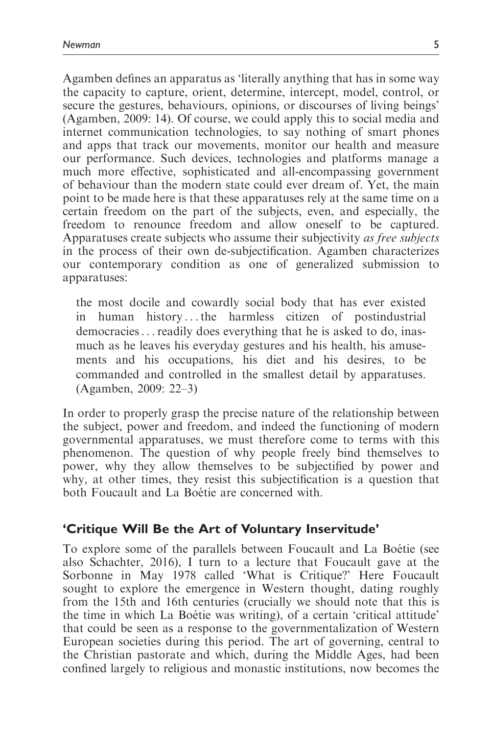Agamben defines an apparatus as 'literally anything that has in some way the capacity to capture, orient, determine, intercept, model, control, or secure the gestures, behaviours, opinions, or discourses of living beings' (Agamben, 2009: 14). Of course, we could apply this to social media and internet communication technologies, to say nothing of smart phones and apps that track our movements, monitor our health and measure our performance. Such devices, technologies and platforms manage a much more effective, sophisticated and all-encompassing government of behaviour than the modern state could ever dream of. Yet, the main point to be made here is that these apparatuses rely at the same time on a certain freedom on the part of the subjects, even, and especially, the freedom to renounce freedom and allow oneself to be captured. Apparatuses create subjects who assume their subjectivity as free subjects in the process of their own de-subjectification. Agamben characterizes our contemporary condition as one of generalized submission to apparatuses:

the most docile and cowardly social body that has ever existed in human history ...the harmless citizen of postindustrial democracies...readily does everything that he is asked to do, inasmuch as he leaves his everyday gestures and his health, his amusements and his occupations, his diet and his desires, to be commanded and controlled in the smallest detail by apparatuses. (Agamben, 2009: 22–3)

In order to properly grasp the precise nature of the relationship between the subject, power and freedom, and indeed the functioning of modern governmental apparatuses, we must therefore come to terms with this phenomenon. The question of why people freely bind themselves to power, why they allow themselves to be subjectified by power and why, at other times, they resist this subjectification is a question that both Foucault and La Boetie are concerned with.

### 'Critique Will Be the Art of Voluntary Inservitude'

To explore some of the parallels between Foucault and La Boétie (see also Schachter, 2016), I turn to a lecture that Foucault gave at the Sorbonne in May 1978 called 'What is Critique?' Here Foucault sought to explore the emergence in Western thought, dating roughly from the 15th and 16th centuries (crucially we should note that this is the time in which La Boetie was writing), of a certain 'critical attitude' that could be seen as a response to the governmentalization of Western European societies during this period. The art of governing, central to the Christian pastorate and which, during the Middle Ages, had been confined largely to religious and monastic institutions, now becomes the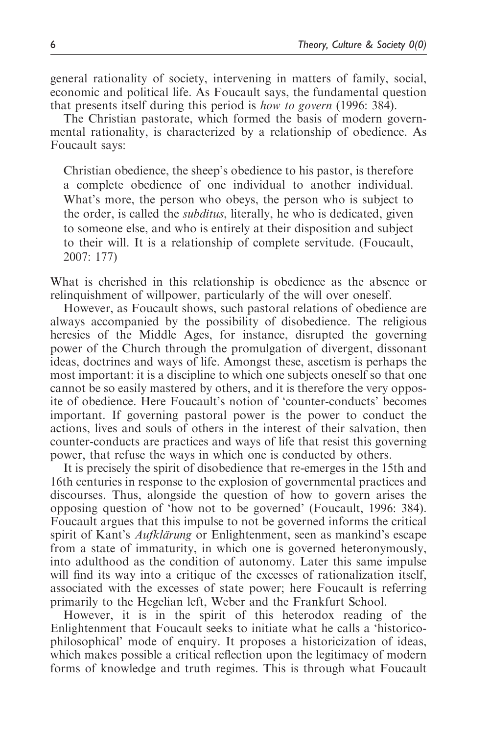general rationality of society, intervening in matters of family, social, economic and political life. As Foucault says, the fundamental question that presents itself during this period is how to govern (1996: 384).

The Christian pastorate, which formed the basis of modern governmental rationality, is characterized by a relationship of obedience. As Foucault says:

Christian obedience, the sheep's obedience to his pastor, is therefore a complete obedience of one individual to another individual. What's more, the person who obeys, the person who is subject to the order, is called the subditus, literally, he who is dedicated, given to someone else, and who is entirely at their disposition and subject to their will. It is a relationship of complete servitude. (Foucault, 2007: 177)

What is cherished in this relationship is obedience as the absence or relinquishment of willpower, particularly of the will over oneself.

However, as Foucault shows, such pastoral relations of obedience are always accompanied by the possibility of disobedience. The religious heresies of the Middle Ages, for instance, disrupted the governing power of the Church through the promulgation of divergent, dissonant ideas, doctrines and ways of life. Amongst these, ascetism is perhaps the most important: it is a discipline to which one subjects oneself so that one cannot be so easily mastered by others, and it is therefore the very opposite of obedience. Here Foucault's notion of 'counter-conducts' becomes important. If governing pastoral power is the power to conduct the actions, lives and souls of others in the interest of their salvation, then counter-conducts are practices and ways of life that resist this governing power, that refuse the ways in which one is conducted by others.

It is precisely the spirit of disobedience that re-emerges in the 15th and 16th centuries in response to the explosion of governmental practices and discourses. Thus, alongside the question of how to govern arises the opposing question of 'how not to be governed' (Foucault, 1996: 384). Foucault argues that this impulse to not be governed informs the critical spirit of Kant's *Aufklärung* or Enlightenment, seen as mankind's escape from a state of immaturity, in which one is governed heteronymously, into adulthood as the condition of autonomy. Later this same impulse will find its way into a critique of the excesses of rationalization itself, associated with the excesses of state power; here Foucault is referring primarily to the Hegelian left, Weber and the Frankfurt School.

However, it is in the spirit of this heterodox reading of the Enlightenment that Foucault seeks to initiate what he calls a 'historicophilosophical' mode of enquiry. It proposes a historicization of ideas, which makes possible a critical reflection upon the legitimacy of modern forms of knowledge and truth regimes. This is through what Foucault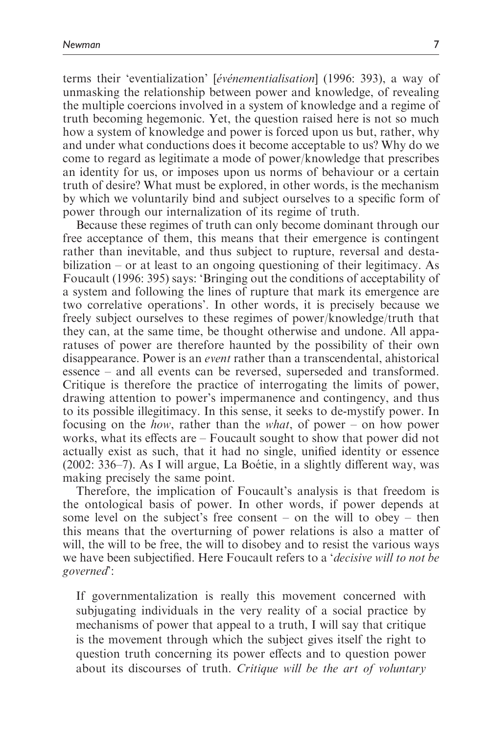terms their 'eventialization' [événementialisation] (1996: 393), a way of unmasking the relationship between power and knowledge, of revealing the multiple coercions involved in a system of knowledge and a regime of truth becoming hegemonic. Yet, the question raised here is not so much how a system of knowledge and power is forced upon us but, rather, why and under what conductions does it become acceptable to us? Why do we come to regard as legitimate a mode of power/knowledge that prescribes an identity for us, or imposes upon us norms of behaviour or a certain truth of desire? What must be explored, in other words, is the mechanism by which we voluntarily bind and subject ourselves to a specific form of power through our internalization of its regime of truth.

Because these regimes of truth can only become dominant through our free acceptance of them, this means that their emergence is contingent rather than inevitable, and thus subject to rupture, reversal and destabilization – or at least to an ongoing questioning of their legitimacy. As Foucault (1996: 395) says: 'Bringing out the conditions of acceptability of a system and following the lines of rupture that mark its emergence are two correlative operations'. In other words, it is precisely because we freely subject ourselves to these regimes of power/knowledge/truth that they can, at the same time, be thought otherwise and undone. All apparatuses of power are therefore haunted by the possibility of their own disappearance. Power is an event rather than a transcendental, ahistorical essence – and all events can be reversed, superseded and transformed. Critique is therefore the practice of interrogating the limits of power, drawing attention to power's impermanence and contingency, and thus to its possible illegitimacy. In this sense, it seeks to de-mystify power. In focusing on the *how*, rather than the *what*, of power – on how power works, what its effects are – Foucault sought to show that power did not actually exist as such, that it had no single, unified identity or essence  $(2002: 336-7)$ . As I will argue, La Boétie, in a slightly different way, was making precisely the same point.

Therefore, the implication of Foucault's analysis is that freedom is the ontological basis of power. In other words, if power depends at some level on the subject's free consent – on the will to obey – then this means that the overturning of power relations is also a matter of will, the will to be free, the will to disobey and to resist the various ways we have been subjectified. Here Foucault refers to a 'decisive will to not be governed':

If governmentalization is really this movement concerned with subjugating individuals in the very reality of a social practice by mechanisms of power that appeal to a truth, I will say that critique is the movement through which the subject gives itself the right to question truth concerning its power effects and to question power about its discourses of truth. Critique will be the art of voluntary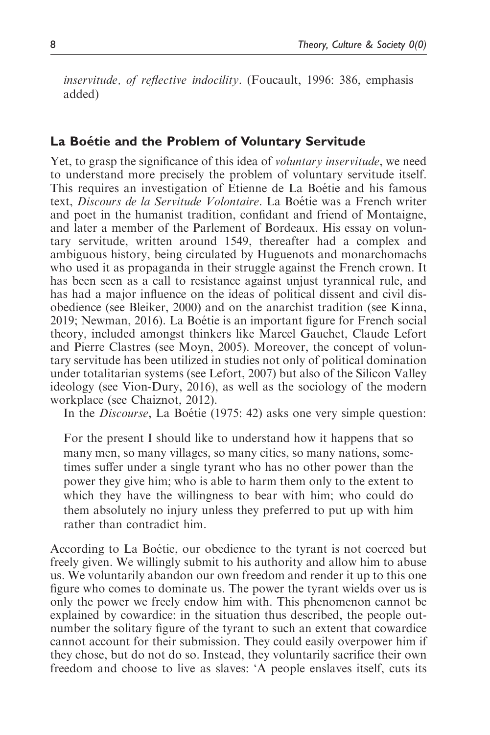inservitude, of reflective indocility. (Foucault, 1996: 386, emphasis added)

# La Boétie and the Problem of Voluntary Servitude

Yet, to grasp the significance of this idea of voluntary inservitude, we need to understand more precisely the problem of voluntary servitude itself. This requires an investigation of Étienne de La Boétie and his famous text, Discours de la Servitude Volontaire. La Boétie was a French writer and poet in the humanist tradition, confidant and friend of Montaigne, and later a member of the Parlement of Bordeaux. His essay on voluntary servitude, written around 1549, thereafter had a complex and ambiguous history, being circulated by Huguenots and monarchomachs who used it as propaganda in their struggle against the French crown. It has been seen as a call to resistance against unjust tyrannical rule, and has had a major influence on the ideas of political dissent and civil disobedience (see Bleiker, 2000) and on the anarchist tradition (see Kinna, 2019; Newman, 2016). La Boe´tie is an important figure for French social theory, included amongst thinkers like Marcel Gauchet, Claude Lefort and Pierre Clastres (see Moyn, 2005). Moreover, the concept of voluntary servitude has been utilized in studies not only of political domination under totalitarian systems (see Lefort, 2007) but also of the Silicon Valley ideology (see Vion-Dury, 2016), as well as the sociology of the modern workplace (see Chaiznot, 2012).

In the *Discourse*, La Boétie (1975: 42) asks one very simple question:

For the present I should like to understand how it happens that so many men, so many villages, so many cities, so many nations, sometimes suffer under a single tyrant who has no other power than the power they give him; who is able to harm them only to the extent to which they have the willingness to bear with him; who could do them absolutely no injury unless they preferred to put up with him rather than contradict him.

According to La Boétie, our obedience to the tyrant is not coerced but freely given. We willingly submit to his authority and allow him to abuse us. We voluntarily abandon our own freedom and render it up to this one figure who comes to dominate us. The power the tyrant wields over us is only the power we freely endow him with. This phenomenon cannot be explained by cowardice: in the situation thus described, the people outnumber the solitary figure of the tyrant to such an extent that cowardice cannot account for their submission. They could easily overpower him if they chose, but do not do so. Instead, they voluntarily sacrifice their own freedom and choose to live as slaves: 'A people enslaves itself, cuts its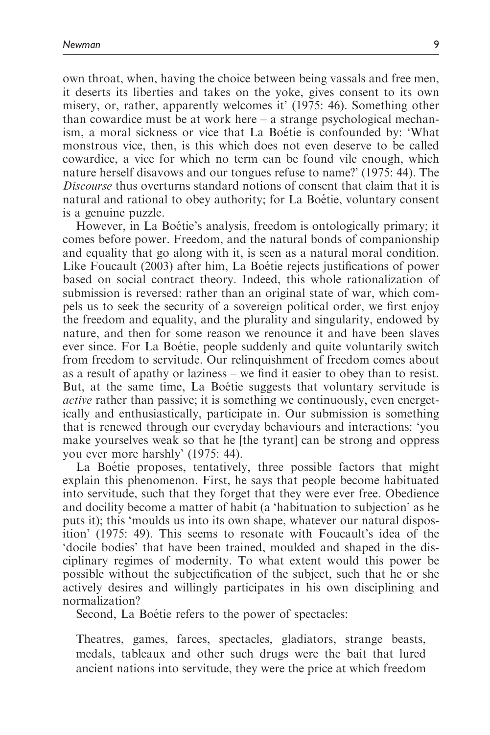own throat, when, having the choice between being vassals and free men, it deserts its liberties and takes on the yoke, gives consent to its own misery, or, rather, apparently welcomes it' (1975: 46). Something other than cowardice must be at work here – a strange psychological mechanism, a moral sickness or vice that La Boétie is confounded by: 'What monstrous vice, then, is this which does not even deserve to be called cowardice, a vice for which no term can be found vile enough, which nature herself disavows and our tongues refuse to name?' (1975: 44). The Discourse thus overturns standard notions of consent that claim that it is natural and rational to obey authority; for La Boétie, voluntary consent is a genuine puzzle.

However, in La Boétie's analysis, freedom is ontologically primary; it comes before power. Freedom, and the natural bonds of companionship and equality that go along with it, is seen as a natural moral condition. Like Foucault (2003) after him. La Boétie rejects justifications of power based on social contract theory. Indeed, this whole rationalization of submission is reversed: rather than an original state of war, which compels us to seek the security of a sovereign political order, we first enjoy the freedom and equality, and the plurality and singularity, endowed by nature, and then for some reason we renounce it and have been slaves ever since. For La Boétie, people suddenly and quite voluntarily switch from freedom to servitude. Our relinquishment of freedom comes about as a result of apathy or laziness – we find it easier to obey than to resist. But, at the same time, La Boétie suggests that voluntary servitude is active rather than passive; it is something we continuously, even energetically and enthusiastically, participate in. Our submission is something that is renewed through our everyday behaviours and interactions: 'you make yourselves weak so that he [the tyrant] can be strong and oppress you ever more harshly' (1975: 44).

La Boétie proposes, tentatively, three possible factors that might explain this phenomenon. First, he says that people become habituated into servitude, such that they forget that they were ever free. Obedience and docility become a matter of habit (a 'habituation to subjection' as he puts it); this 'moulds us into its own shape, whatever our natural disposition' (1975: 49). This seems to resonate with Foucault's idea of the 'docile bodies' that have been trained, moulded and shaped in the disciplinary regimes of modernity. To what extent would this power be possible without the subjectification of the subject, such that he or she actively desires and willingly participates in his own disciplining and normalization?

Second, La Boetie refers to the power of spectacles:

Theatres, games, farces, spectacles, gladiators, strange beasts, medals, tableaux and other such drugs were the bait that lured ancient nations into servitude, they were the price at which freedom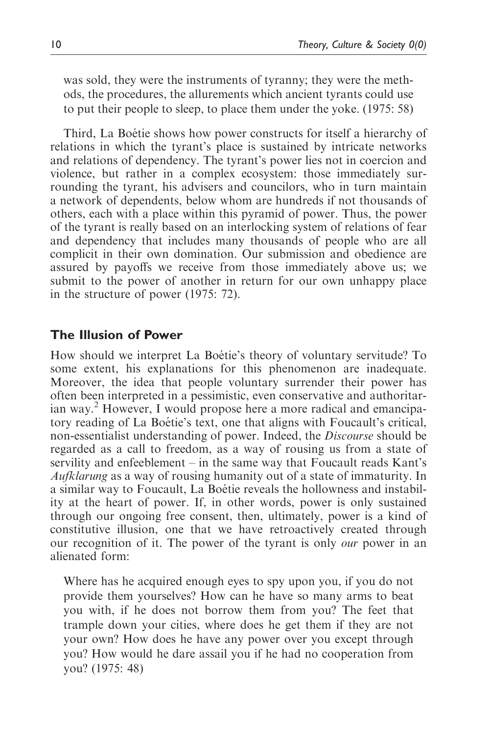was sold, they were the instruments of tyranny; they were the methods, the procedures, the allurements which ancient tyrants could use to put their people to sleep, to place them under the yoke. (1975: 58)

Third, La Boétie shows how power constructs for itself a hierarchy of relations in which the tyrant's place is sustained by intricate networks and relations of dependency. The tyrant's power lies not in coercion and violence, but rather in a complex ecosystem: those immediately surrounding the tyrant, his advisers and councilors, who in turn maintain a network of dependents, below whom are hundreds if not thousands of others, each with a place within this pyramid of power. Thus, the power of the tyrant is really based on an interlocking system of relations of fear and dependency that includes many thousands of people who are all complicit in their own domination. Our submission and obedience are assured by payoffs we receive from those immediately above us; we submit to the power of another in return for our own unhappy place in the structure of power (1975: 72).

### The Illusion of Power

How should we interpret La Boétie's theory of voluntary servitude? To some extent, his explanations for this phenomenon are inadequate. Moreover, the idea that people voluntary surrender their power has often been interpreted in a pessimistic, even conservative and authoritarian way.<sup>2</sup> However, I would propose here a more radical and emancipatory reading of La Boétie's text, one that aligns with Foucault's critical, non-essentialist understanding of power. Indeed, the Discourse should be regarded as a call to freedom, as a way of rousing us from a state of servility and enfeeblement – in the same way that Foucault reads Kant's Aufklarung as a way of rousing humanity out of a state of immaturity. In a similar way to Foucault, La Boétie reveals the hollowness and instability at the heart of power. If, in other words, power is only sustained through our ongoing free consent, then, ultimately, power is a kind of constitutive illusion, one that we have retroactively created through our recognition of it. The power of the tyrant is only *our* power in an alienated form:

Where has he acquired enough eyes to spy upon you, if you do not provide them yourselves? How can he have so many arms to beat you with, if he does not borrow them from you? The feet that trample down your cities, where does he get them if they are not your own? How does he have any power over you except through you? How would he dare assail you if he had no cooperation from you? (1975: 48)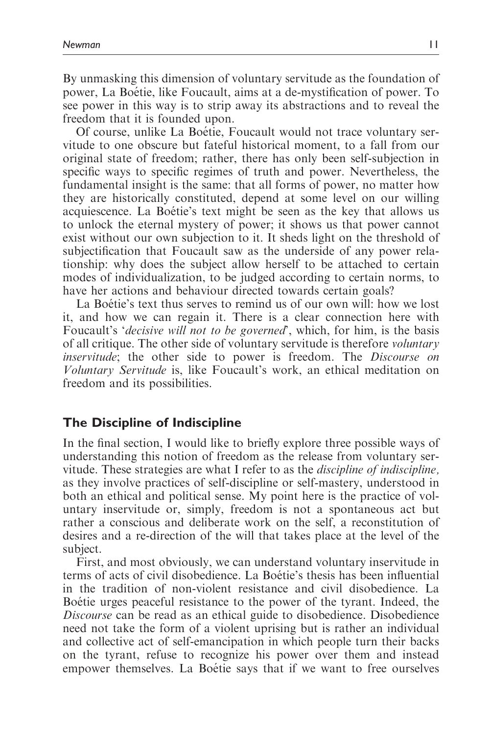By unmasking this dimension of voluntary servitude as the foundation of power, La Boétie, like Foucault, aims at a de-mystification of power. To see power in this way is to strip away its abstractions and to reveal the freedom that it is founded upon.

Of course, unlike La Boétie, Foucault would not trace voluntary servitude to one obscure but fateful historical moment, to a fall from our original state of freedom; rather, there has only been self-subjection in specific ways to specific regimes of truth and power. Nevertheless, the fundamental insight is the same: that all forms of power, no matter how they are historically constituted, depend at some level on our willing acquiescence. La Boétie's text might be seen as the key that allows us to unlock the eternal mystery of power; it shows us that power cannot exist without our own subjection to it. It sheds light on the threshold of subjectification that Foucault saw as the underside of any power relationship: why does the subject allow herself to be attached to certain modes of individualization, to be judged according to certain norms, to have her actions and behaviour directed towards certain goals?

La Boétie's text thus serves to remind us of our own will: how we lost it, and how we can regain it. There is a clear connection here with Foucault's '*decisive will not to be governed*', which, for him, is the basis of all critique. The other side of voluntary servitude is therefore voluntary inservitude; the other side to power is freedom. The Discourse on Voluntary Servitude is, like Foucault's work, an ethical meditation on freedom and its possibilities.

### The Discipline of Indiscipline

In the final section, I would like to briefly explore three possible ways of understanding this notion of freedom as the release from voluntary servitude. These strategies are what I refer to as the *discipline of indiscipline*, as they involve practices of self-discipline or self-mastery, understood in both an ethical and political sense. My point here is the practice of voluntary inservitude or, simply, freedom is not a spontaneous act but rather a conscious and deliberate work on the self, a reconstitution of desires and a re-direction of the will that takes place at the level of the subject.

First, and most obviously, we can understand voluntary inservitude in terms of acts of civil disobedience. La Boétie's thesis has been influential in the tradition of non-violent resistance and civil disobedience. La Boetie urges peaceful resistance to the power of the tyrant. Indeed, the Discourse can be read as an ethical guide to disobedience. Disobedience need not take the form of a violent uprising but is rather an individual and collective act of self-emancipation in which people turn their backs on the tyrant, refuse to recognize his power over them and instead empower themselves. La Boétie says that if we want to free ourselves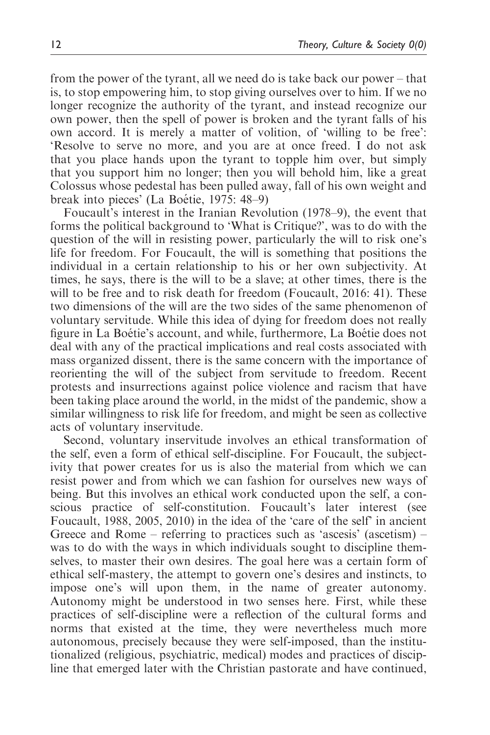from the power of the tyrant, all we need do is take back our power – that is, to stop empowering him, to stop giving ourselves over to him. If we no longer recognize the authority of the tyrant, and instead recognize our own power, then the spell of power is broken and the tyrant falls of his own accord. It is merely a matter of volition, of 'willing to be free': 'Resolve to serve no more, and you are at once freed. I do not ask that you place hands upon the tyrant to topple him over, but simply that you support him no longer; then you will behold him, like a great Colossus whose pedestal has been pulled away, fall of his own weight and break into pieces' (La Boétie, 1975: 48–9)

Foucault's interest in the Iranian Revolution (1978–9), the event that forms the political background to 'What is Critique?', was to do with the question of the will in resisting power, particularly the will to risk one's life for freedom. For Foucault, the will is something that positions the individual in a certain relationship to his or her own subjectivity. At times, he says, there is the will to be a slave; at other times, there is the will to be free and to risk death for freedom (Foucault, 2016: 41). These two dimensions of the will are the two sides of the same phenomenon of voluntary servitude. While this idea of dying for freedom does not really figure in La Boétie's account, and while, furthermore, La Boétie does not deal with any of the practical implications and real costs associated with mass organized dissent, there is the same concern with the importance of reorienting the will of the subject from servitude to freedom. Recent protests and insurrections against police violence and racism that have been taking place around the world, in the midst of the pandemic, show a similar willingness to risk life for freedom, and might be seen as collective acts of voluntary inservitude.

Second, voluntary inservitude involves an ethical transformation of the self, even a form of ethical self-discipline. For Foucault, the subjectivity that power creates for us is also the material from which we can resist power and from which we can fashion for ourselves new ways of being. But this involves an ethical work conducted upon the self, a conscious practice of self-constitution. Foucault's later interest (see Foucault, 1988, 2005, 2010) in the idea of the 'care of the self' in ancient Greece and Rome – referring to practices such as 'ascesis' (ascetism) – was to do with the ways in which individuals sought to discipline themselves, to master their own desires. The goal here was a certain form of ethical self-mastery, the attempt to govern one's desires and instincts, to impose one's will upon them, in the name of greater autonomy. Autonomy might be understood in two senses here. First, while these practices of self-discipline were a reflection of the cultural forms and norms that existed at the time, they were nevertheless much more autonomous, precisely because they were self-imposed, than the institutionalized (religious, psychiatric, medical) modes and practices of discipline that emerged later with the Christian pastorate and have continued,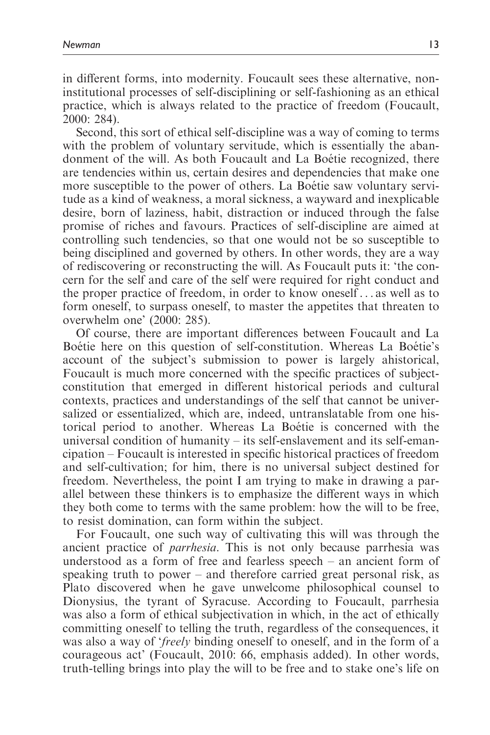in different forms, into modernity. Foucault sees these alternative, noninstitutional processes of self-disciplining or self-fashioning as an ethical practice, which is always related to the practice of freedom (Foucault, 2000: 284).

Second, this sort of ethical self-discipline was a way of coming to terms with the problem of voluntary servitude, which is essentially the abandonment of the will. As both Foucault and La Boetie recognized, there are tendencies within us, certain desires and dependencies that make one more susceptible to the power of others. La Boétie saw voluntary servitude as a kind of weakness, a moral sickness, a wayward and inexplicable desire, born of laziness, habit, distraction or induced through the false promise of riches and favours. Practices of self-discipline are aimed at controlling such tendencies, so that one would not be so susceptible to being disciplined and governed by others. In other words, they are a way of rediscovering or reconstructing the will. As Foucault puts it: 'the concern for the self and care of the self were required for right conduct and the proper practice of freedom, in order to know oneself ... as well as to form oneself, to surpass oneself, to master the appetites that threaten to overwhelm one' (2000: 285).

Of course, there are important differences between Foucault and La Boetie here on this question of self-constitution. Whereas La Boetie's account of the subject's submission to power is largely ahistorical, Foucault is much more concerned with the specific practices of subjectconstitution that emerged in different historical periods and cultural contexts, practices and understandings of the self that cannot be universalized or essentialized, which are, indeed, untranslatable from one historical period to another. Whereas La Boétie is concerned with the universal condition of humanity – its self-enslavement and its self-emancipation – Foucault is interested in specific historical practices of freedom and self-cultivation; for him, there is no universal subject destined for freedom. Nevertheless, the point I am trying to make in drawing a parallel between these thinkers is to emphasize the different ways in which they both come to terms with the same problem: how the will to be free, to resist domination, can form within the subject.

For Foucault, one such way of cultivating this will was through the ancient practice of parrhesia. This is not only because parrhesia was understood as a form of free and fearless speech – an ancient form of speaking truth to power – and therefore carried great personal risk, as Plato discovered when he gave unwelcome philosophical counsel to Dionysius, the tyrant of Syracuse. According to Foucault, parrhesia was also a form of ethical subjectivation in which, in the act of ethically committing oneself to telling the truth, regardless of the consequences, it was also a way of 'freely binding oneself to oneself, and in the form of a courageous act' (Foucault, 2010: 66, emphasis added). In other words, truth-telling brings into play the will to be free and to stake one's life on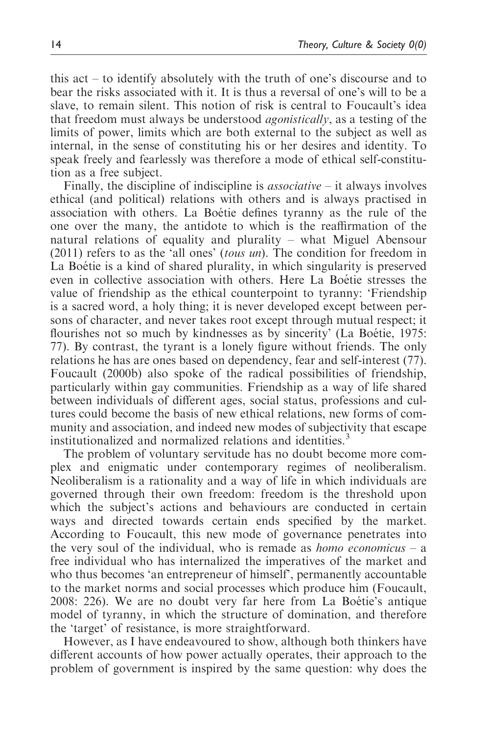this act – to identify absolutely with the truth of one's discourse and to bear the risks associated with it. It is thus a reversal of one's will to be a slave, to remain silent. This notion of risk is central to Foucault's idea that freedom must always be understood agonistically, as a testing of the limits of power, limits which are both external to the subject as well as internal, in the sense of constituting his or her desires and identity. To speak freely and fearlessly was therefore a mode of ethical self-constitution as a free subject.

Finally, the discipline of indiscipline is *associative* – it always involves ethical (and political) relations with others and is always practised in association with others. La Boétie defines tyranny as the rule of the one over the many, the antidote to which is the reaffirmation of the natural relations of equality and plurality – what Miguel Abensour (2011) refers to as the 'all ones' (tous un). The condition for freedom in La Boétie is a kind of shared plurality, in which singularity is preserved even in collective association with others. Here La Boétie stresses the value of friendship as the ethical counterpoint to tyranny: 'Friendship is a sacred word, a holy thing; it is never developed except between persons of character, and never takes root except through mutual respect; it flourishes not so much by kindnesses as by sincerity' (La Boétie, 1975: 77). By contrast, the tyrant is a lonely figure without friends. The only relations he has are ones based on dependency, fear and self-interest (77). Foucault (2000b) also spoke of the radical possibilities of friendship, particularly within gay communities. Friendship as a way of life shared between individuals of different ages, social status, professions and cultures could become the basis of new ethical relations, new forms of community and association, and indeed new modes of subjectivity that escape institutionalized and normalized relations and identities.<sup>3</sup>

The problem of voluntary servitude has no doubt become more complex and enigmatic under contemporary regimes of neoliberalism. Neoliberalism is a rationality and a way of life in which individuals are governed through their own freedom: freedom is the threshold upon which the subject's actions and behaviours are conducted in certain ways and directed towards certain ends specified by the market. According to Foucault, this new mode of governance penetrates into the very soul of the individual, who is remade as *homo economicus* – a free individual who has internalized the imperatives of the market and who thus becomes 'an entrepreneur of himself', permanently accountable to the market norms and social processes which produce him (Foucault,  $2008: 226$ . We are no doubt very far here from La Boétie's antique model of tyranny, in which the structure of domination, and therefore the 'target' of resistance, is more straightforward.

However, as I have endeavoured to show, although both thinkers have different accounts of how power actually operates, their approach to the problem of government is inspired by the same question: why does the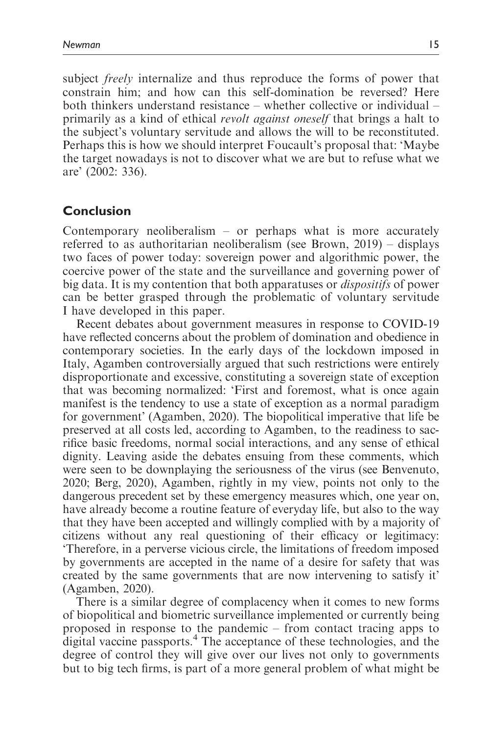subject *freely* internalize and thus reproduce the forms of power that constrain him; and how can this self-domination be reversed? Here both thinkers understand resistance – whether collective or individual – primarily as a kind of ethical revolt against oneself that brings a halt to the subject's voluntary servitude and allows the will to be reconstituted. Perhaps this is how we should interpret Foucault's proposal that: 'Maybe the target nowadays is not to discover what we are but to refuse what we are' (2002: 336).

# Conclusion

Contemporary neoliberalism  $-$  or perhaps what is more accurately referred to as authoritarian neoliberalism (see Brown, 2019) – displays two faces of power today: sovereign power and algorithmic power, the coercive power of the state and the surveillance and governing power of big data. It is my contention that both apparatuses or dispositifs of power can be better grasped through the problematic of voluntary servitude I have developed in this paper.

Recent debates about government measures in response to COVID-19 have reflected concerns about the problem of domination and obedience in contemporary societies. In the early days of the lockdown imposed in Italy, Agamben controversially argued that such restrictions were entirely disproportionate and excessive, constituting a sovereign state of exception that was becoming normalized: 'First and foremost, what is once again manifest is the tendency to use a state of exception as a normal paradigm for government' (Agamben, 2020). The biopolitical imperative that life be preserved at all costs led, according to Agamben, to the readiness to sacrifice basic freedoms, normal social interactions, and any sense of ethical dignity. Leaving aside the debates ensuing from these comments, which were seen to be downplaying the seriousness of the virus (see Benvenuto, 2020; Berg, 2020), Agamben, rightly in my view, points not only to the dangerous precedent set by these emergency measures which, one year on, have already become a routine feature of everyday life, but also to the way that they have been accepted and willingly complied with by a majority of citizens without any real questioning of their efficacy or legitimacy: 'Therefore, in a perverse vicious circle, the limitations of freedom imposed by governments are accepted in the name of a desire for safety that was created by the same governments that are now intervening to satisfy it' (Agamben, 2020).

There is a similar degree of complacency when it comes to new forms of biopolitical and biometric surveillance implemented or currently being proposed in response to the pandemic – from contact tracing apps to digital vaccine passports.<sup>4</sup> The acceptance of these technologies, and the degree of control they will give over our lives not only to governments but to big tech firms, is part of a more general problem of what might be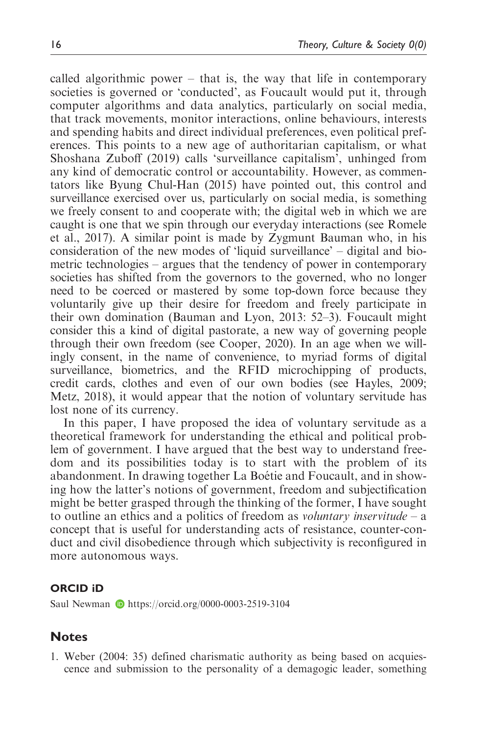called algorithmic power – that is, the way that life in contemporary societies is governed or 'conducted', as Foucault would put it, through computer algorithms and data analytics, particularly on social media, that track movements, monitor interactions, online behaviours, interests and spending habits and direct individual preferences, even political preferences. This points to a new age of authoritarian capitalism, or what Shoshana Zuboff (2019) calls 'surveillance capitalism', unhinged from any kind of democratic control or accountability. However, as commentators like Byung Chul-Han (2015) have pointed out, this control and surveillance exercised over us, particularly on social media, is something we freely consent to and cooperate with; the digital web in which we are caught is one that we spin through our everyday interactions (see Romele et al., 2017). A similar point is made by Zygmunt Bauman who, in his consideration of the new modes of 'liquid surveillance' – digital and biometric technologies – argues that the tendency of power in contemporary societies has shifted from the governors to the governed, who no longer need to be coerced or mastered by some top-down force because they voluntarily give up their desire for freedom and freely participate in their own domination (Bauman and Lyon, 2013: 52–3). Foucault might consider this a kind of digital pastorate, a new way of governing people through their own freedom (see Cooper, 2020). In an age when we willingly consent, in the name of convenience, to myriad forms of digital surveillance, biometrics, and the RFID microchipping of products, credit cards, clothes and even of our own bodies (see Hayles, 2009; Metz, 2018), it would appear that the notion of voluntary servitude has lost none of its currency.

In this paper, I have proposed the idea of voluntary servitude as a theoretical framework for understanding the ethical and political problem of government. I have argued that the best way to understand freedom and its possibilities today is to start with the problem of its abandonment. In drawing together La Boétie and Foucault, and in showing how the latter's notions of government, freedom and subjectification might be better grasped through the thinking of the former, I have sought to outline an ethics and a politics of freedom as *voluntary inservitude* – a concept that is useful for understanding acts of resistance, counter-conduct and civil disobedience through which subjectivity is reconfigured in more autonomous ways.

#### ORCID iD

Saul Newman D <https://orcid.org/0000-0003-2519-3104>

# Notes

1. Weber (2004: 35) defined charismatic authority as being based on acquiescence and submission to the personality of a demagogic leader, something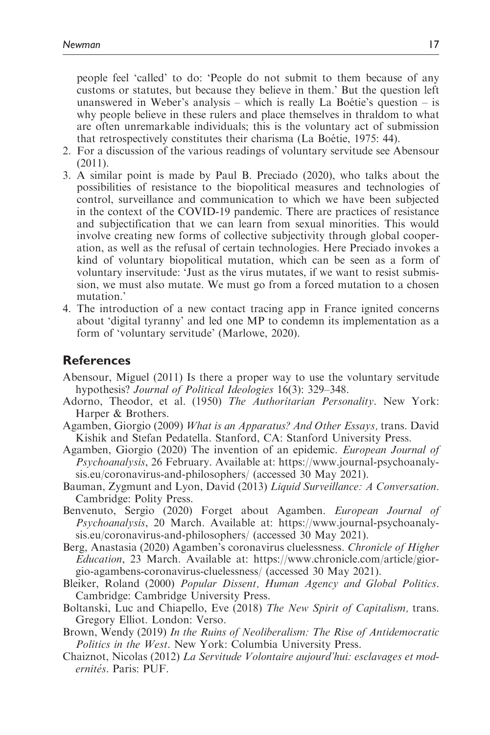people feel 'called' to do: 'People do not submit to them because of any customs or statutes, but because they believe in them.' But the question left unanswered in Weber's analysis – which is really La Boétie's question – is why people believe in these rulers and place themselves in thraldom to what are often unremarkable individuals; this is the voluntary act of submission that retrospectively constitutes their charisma (La Boétie, 1975: 44).

- 2. For a discussion of the various readings of voluntary servitude see Abensour (2011).
- 3. A similar point is made by Paul B. Preciado (2020), who talks about the possibilities of resistance to the biopolitical measures and technologies of control, surveillance and communication to which we have been subjected in the context of the COVID-19 pandemic. There are practices of resistance and subjectification that we can learn from sexual minorities. This would involve creating new forms of collective subjectivity through global cooperation, as well as the refusal of certain technologies. Here Preciado invokes a kind of voluntary biopolitical mutation, which can be seen as a form of voluntary inservitude: 'Just as the virus mutates, if we want to resist submission, we must also mutate. We must go from a forced mutation to a chosen mutation.'
- 4. The introduction of a new contact tracing app in France ignited concerns about 'digital tyranny' and led one MP to condemn its implementation as a form of 'voluntary servitude' (Marlowe, 2020).

### References

- Abensour, Miguel (2011) Is there a proper way to use the voluntary servitude hypothesis? *Journal of Political Ideologies* 16(3): 329–348.
- Adorno, Theodor, et al. (1950) The Authoritarian Personality. New York: Harper & Brothers.
- Agamben, Giorgio (2009) What is an Apparatus? And Other Essays, trans. David Kishik and Stefan Pedatella. Stanford, CA: Stanford University Press.
- Agamben, Giorgio (2020) The invention of an epidemic. European Journal of Psychoanalysis, 26 February. Available at: [https://www.journal-psychoanaly](https://www.journal-psychoanalysis.eu/coronavirus-and-philosophers/)[sis.eu/coronavirus-and-philosophers/](https://www.journal-psychoanalysis.eu/coronavirus-and-philosophers/) (accessed 30 May 2021).
- Bauman, Zygmunt and Lyon, David (2013) Liquid Surveillance: A Conversation. Cambridge: Polity Press.
- Benvenuto, Sergio (2020) Forget about Agamben. European Journal of Psychoanalysis, 20 March. Available at: [https://www.journal-psychoanaly](https://www.journal-psychoanalysis.eu/coronavirus-and-philosophers/)[sis.eu/coronavirus-and-philosophers/](https://www.journal-psychoanalysis.eu/coronavirus-and-philosophers/) (accessed 30 May 2021).
- Berg, Anastasia (2020) Agamben's coronavirus cluelessness. Chronicle of Higher Education, 23 March. Available at: [https://www.chronicle.com/article/gior](https://www.chronicle.com/article/giorgio-agambens-coronavirus-cluelessness/)[gio-agambens-coronavirus-cluelessness/](https://www.chronicle.com/article/giorgio-agambens-coronavirus-cluelessness/) (accessed 30 May 2021).
- Bleiker, Roland (2000) Popular Dissent, Human Agency and Global Politics. Cambridge: Cambridge University Press.
- Boltanski, Luc and Chiapello, Eve (2018) The New Spirit of Capitalism, trans. Gregory Elliot. London: Verso.
- Brown, Wendy (2019) In the Ruins of Neoliberalism: The Rise of Antidemocratic Politics in the West. New York: Columbia University Press.
- Chaiznot, Nicolas (2012) La Servitude Volontaire aujourd'hui: esclavages et modernités. Paris: PUF.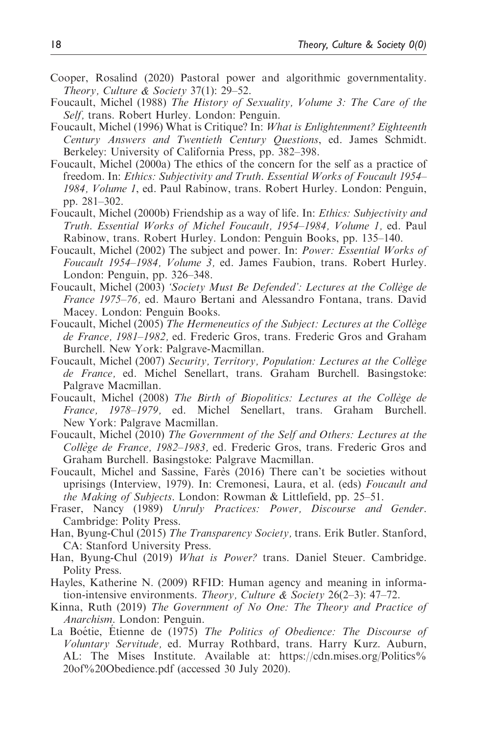- Cooper, Rosalind (2020) Pastoral power and algorithmic governmentality. Theory, Culture & Society 37(1): 29–52.
- Foucault, Michel (1988) The History of Sexuality, Volume 3: The Care of the Self, trans. Robert Hurley. London: Penguin.
- Foucault, Michel (1996) What is Critique? In: What is Enlightenment? Eighteenth Century Answers and Twentieth Century Questions, ed. James Schmidt. Berkeley: University of California Press, pp. 382–398.
- Foucault, Michel (2000a) The ethics of the concern for the self as a practice of freedom. In: Ethics: Subjectivity and Truth. Essential Works of Foucault 1954– 1984, Volume 1, ed. Paul Rabinow, trans. Robert Hurley. London: Penguin, pp. 281–302.
- Foucault, Michel (2000b) Friendship as a way of life. In: Ethics: Subjectivity and Truth. Essential Works of Michel Foucault, 1954–1984, Volume 1, ed. Paul Rabinow, trans. Robert Hurley. London: Penguin Books, pp. 135–140.
- Foucault, Michel (2002) The subject and power. In: Power: Essential Works of Foucault 1954–1984, Volume 3, ed. James Faubion, trans. Robert Hurley. London: Penguin, pp. 326–348.
- Foucault, Michel (2003) 'Society Must Be Defended': Lectures at the Collège de France 1975–76, ed. Mauro Bertani and Alessandro Fontana, trans. David Macey. London: Penguin Books.
- Foucault, Michel (2005) The Hermeneutics of the Subject: Lectures at the Collège de France, 1981–1982, ed. Frederic Gros, trans. Frederic Gros and Graham Burchell. New York: Palgrave-Macmillan.
- Foucault, Michel (2007) Security, Territory, Population: Lectures at the Collège de France, ed. Michel Senellart, trans. Graham Burchell. Basingstoke: Palgrave Macmillan.
- Foucault, Michel (2008) The Birth of Biopolitics: Lectures at the Collège de France, 1978–1979, ed. Michel Senellart, trans. Graham Burchell. New York: Palgrave Macmillan.
- Foucault, Michel (2010) The Government of the Self and Others: Lectures at the Collège de France, 1982–1983, ed. Frederic Gros, trans. Frederic Gros and Graham Burchell. Basingstoke: Palgrave Macmillan.
- Foucault, Michel and Sassine, Fares (2016) There can't be societies without uprisings (Interview, 1979). In: Cremonesi, Laura, et al. (eds) Foucault and the Making of Subjects. London: Rowman & Littlefield, pp. 25–51.
- Fraser, Nancy (1989) Unruly Practices: Power, Discourse and Gender. Cambridge: Polity Press.
- Han, Byung-Chul (2015) The Transparency Society, trans. Erik Butler. Stanford, CA: Stanford University Press.
- Han, Byung-Chul (2019) What is Power? trans. Daniel Steuer. Cambridge. Polity Press.
- Hayles, Katherine N. (2009) RFID: Human agency and meaning in information-intensive environments. *Theory, Culture & Society* 26(2–3): 47–72.
- Kinna, Ruth (2019) The Government of No One: The Theory and Practice of Anarchism. London: Penguin.
- La Boétie, Etienne de (1975) The Politics of Obedience: The Discourse of Voluntary Servitude, ed. Murray Rothbard, trans. Harry Kurz. Auburn, AL: The Mises Institute. Available at: [https://cdn.mises.org/Politics%](https://cdn.mises.org/Politics20of20Obedience.pdf) [20of%20Obedience.pdf](https://cdn.mises.org/Politics20of20Obedience.pdf) (accessed 30 July 2020).